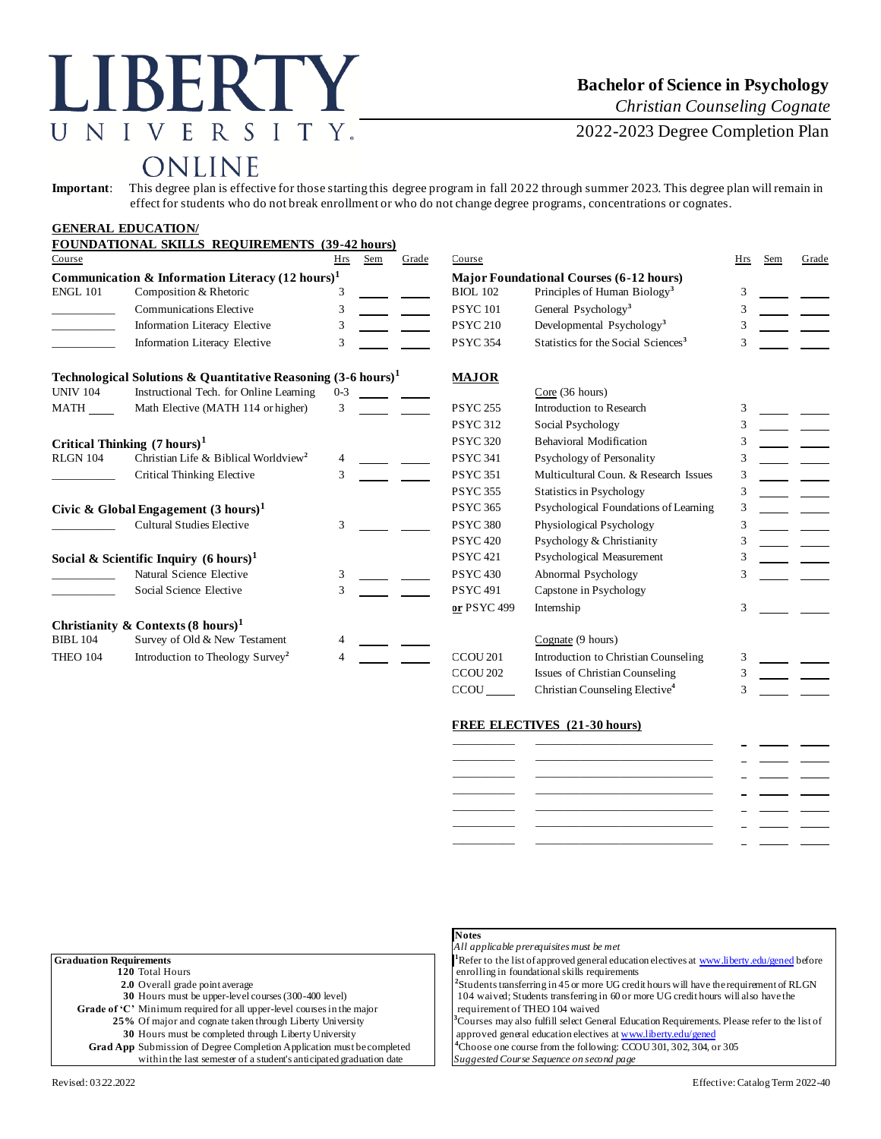# LIBERTY UNIVERSITY.

### **Bachelor of Science in Psychology**

*Christian Counseling Cognate*

2022-2023 Degree Completion Plan

## ONLINE

**Important**: This degree plan is effective for those starting this degree program in fall 2022 through summer 2023. This degree plan will remain in effect for students who do not break enrollment or who do not change degree programs, concentrations or cognates.

|                                                             | <b>GENERAL EDUCATION/</b>                                                |               |                                                |                                |                     |                                                 |     |     |       |
|-------------------------------------------------------------|--------------------------------------------------------------------------|---------------|------------------------------------------------|--------------------------------|---------------------|-------------------------------------------------|-----|-----|-------|
|                                                             | FOUNDATIONAL SKILLS REQUIREMENTS (39-42 hours)                           |               |                                                |                                |                     |                                                 |     |     |       |
| Course                                                      |                                                                          | Hrs           | Sem                                            | Grade                          | Course              |                                                 | Hrs | Sem | Grade |
| Communication & Information Literacy $(12 \text{ hours})^1$ |                                                                          |               | <b>Major Foundational Courses (6-12 hours)</b> |                                |                     |                                                 |     |     |       |
| <b>ENGL 101</b>                                             | Composition & Rhetoric                                                   | 3             |                                                |                                | <b>BIOL 102</b>     | Principles of Human Biology <sup>3</sup>        | 3   |     |       |
|                                                             | <b>Communications Elective</b>                                           | 3             |                                                |                                | <b>PSYC101</b>      | General Psychology <sup>3</sup>                 | 3   |     |       |
|                                                             | <b>Information Literacy Elective</b>                                     | 3             |                                                |                                | <b>PSYC 210</b>     | Developmental Psychology <sup>3</sup>           |     |     |       |
|                                                             | <b>Information Literacy Elective</b>                                     | 3             |                                                |                                | <b>PSYC 354</b>     | Statistics for the Social Sciences <sup>3</sup> | 3   |     |       |
|                                                             | Technological Solutions & Quantitative Reasoning $(3-6 \text{ hours})^1$ |               |                                                |                                | <b>MAJOR</b>        |                                                 |     |     |       |
| <b>UNIV 104</b>                                             | Instructional Tech. for Online Learning                                  | $0 - 3$       |                                                |                                |                     | Core(36 hours)                                  |     |     |       |
| MATH                                                        | Math Elective (MATH 114 or higher)                                       | 3             |                                                |                                | <b>PSYC 255</b>     | Introduction to Research                        | 3   |     |       |
|                                                             |                                                                          |               |                                                |                                | <b>PSYC 312</b>     | Social Psychology                               | 3   |     |       |
| Critical Thinking $(7 \text{ hours})^1$                     |                                                                          |               | <b>PSYC 320</b>                                | <b>Behavioral Modification</b> |                     |                                                 |     |     |       |
| <b>RLGN 104</b>                                             | Christian Life & Biblical Worldview <sup>2</sup>                         | 4             |                                                |                                | <b>PSYC 341</b>     | Psychology of Personality                       | 3   |     |       |
|                                                             | Critical Thinking Elective                                               | $\mathcal{F}$ |                                                |                                | <b>PSYC 351</b>     | Multicultural Coun. & Research Issues           | 3   |     |       |
|                                                             |                                                                          |               |                                                |                                | <b>PSYC 355</b>     | <b>Statistics in Psychology</b>                 | 3   |     |       |
|                                                             | Civic & Global Engagement $(3 \text{ hours})^1$                          |               |                                                |                                | <b>PSYC 365</b>     | Psychological Foundations of Learning           | 3   |     |       |
| <b>Cultural Studies Elective</b>                            |                                                                          | 3             |                                                |                                | <b>PSYC 380</b>     | Physiological Psychology                        | 3   |     |       |
|                                                             |                                                                          |               |                                                |                                | <b>PSYC 420</b>     | Psychology & Christianity                       | 3   |     |       |
| Social & Scientific Inquiry $(6 \text{ hours})^1$           |                                                                          |               |                                                |                                | <b>PSYC 421</b>     | Psychological Measurement                       |     |     |       |
|                                                             | Natural Science Elective                                                 | 3             |                                                |                                | <b>PSYC 430</b>     | Abnormal Psychology                             | 3   |     |       |
|                                                             | Social Science Elective                                                  | 3             |                                                |                                | <b>PSYC 491</b>     | Capstone in Psychology                          |     |     |       |
|                                                             |                                                                          |               |                                                |                                | or PSYC 499         | Internship                                      | 3   |     |       |
|                                                             | Christianity & Contexts $(8 \text{ hours})^1$                            |               |                                                |                                |                     |                                                 |     |     |       |
| <b>BIBL 104</b>                                             | Survey of Old & New Testament                                            |               |                                                |                                |                     | Cognate (9 hours)                               |     |     |       |
| THEO 104                                                    | Introduction to Theology Survey <sup>2</sup>                             |               |                                                |                                | CCOU <sub>201</sub> | Introduction to Christian Counseling            | 3   |     |       |
|                                                             |                                                                          |               |                                                |                                | CCOU <sub>202</sub> | Issues of Christian Counseling                  | 3   |     |       |
|                                                             |                                                                          |               |                                                |                                | CCOU                | Christian Counseling Elective <sup>4</sup>      |     |     |       |

#### **FREE ELECTIVES (21-30 hours)**

| ___________ |  |
|-------------|--|
|             |  |
|             |  |
|             |  |
|             |  |

|                                                                        | Notes                                                                                                    |
|------------------------------------------------------------------------|----------------------------------------------------------------------------------------------------------|
|                                                                        | All applicable prerequisites must be met                                                                 |
| <b>Graduation Requirements</b>                                         | <sup>1</sup> Refer to the list of approved general education electives at www.liberty.edu/gened before   |
| 120 Total Hours                                                        | enrolling in foundational skills requirements                                                            |
| <b>2.0</b> Overall grade point average                                 | <sup>2</sup> Students transferring in 45 or more UG credit hours will have the requirement of RLGN       |
| 30 Hours must be upper-level courses (300-400 level)                   | 104 waived; Students transferring in 60 or more UG credit hours will also have the                       |
| Grade of 'C' Minimum required for all upper-level courses in the major | requirement of THEO 104 waived                                                                           |
| 25% Of major and cognate taken through Liberty University              | <sup>3</sup> Courses may also fulfill select General Education Requirements. Please refer to the list of |
| 30 Hours must be completed through Liberty University                  | approved general education electives at www.liberty.edu/gened                                            |
| Grad App Submission of Degree Completion Application must be completed | <sup>4</sup> Choose one course from the following: CCOU 301, 302, 304, or 305                            |
| within the last semester of a student's anticipated graduation date    | Suggested Course Sequence on second page                                                                 |